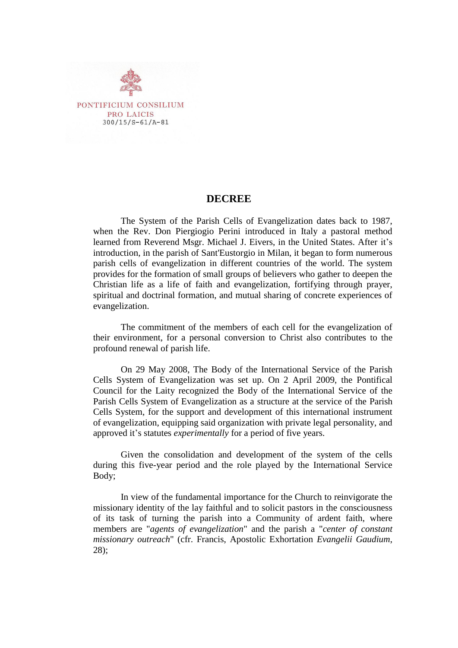

## **DECREE**

The System of the Parish Cells of Evangelization dates back to 1987, when the Rev. Don Piergiogio Perini introduced in Italy a pastoral method learned from Reverend Msgr. Michael J. Eivers, in the United States. After it's introduction, in the parish of Sant'Eustorgio in Milan, it began to form numerous parish cells of evangelization in different countries of the world. The system provides for the formation of small groups of believers who gather to deepen the Christian life as a life of faith and evangelization, fortifying through prayer, spiritual and doctrinal formation, and mutual sharing of concrete experiences of evangelization.

The commitment of the members of each cell for the evangelization of their environment, for a personal conversion to Christ also contributes to the profound renewal of parish life.

On 29 May 2008, The Body of the International Service of the Parish Cells System of Evangelization was set up. On 2 April 2009, the Pontifical Council for the Laity recognized the Body of the International Service of the Parish Cells System of Evangelization as a structure at the service of the Parish Cells System, for the support and development of this international instrument of evangelization, equipping said organization with private legal personality, and approved it's statutes *experimentally* for a period of five years.

Given the consolidation and development of the system of the cells during this five-year period and the role played by the International Service Body;

In view of the fundamental importance for the Church to reinvigorate the missionary identity of the lay faithful and to solicit pastors in the consciousness of its task of turning the parish into a Community of ardent faith, where members are "*agents of evangelization*" and the parish a "*center of constant missionary outreach*" (cfr. Francis, Apostolic Exhortation *Evangelii Gaudium*, 28);